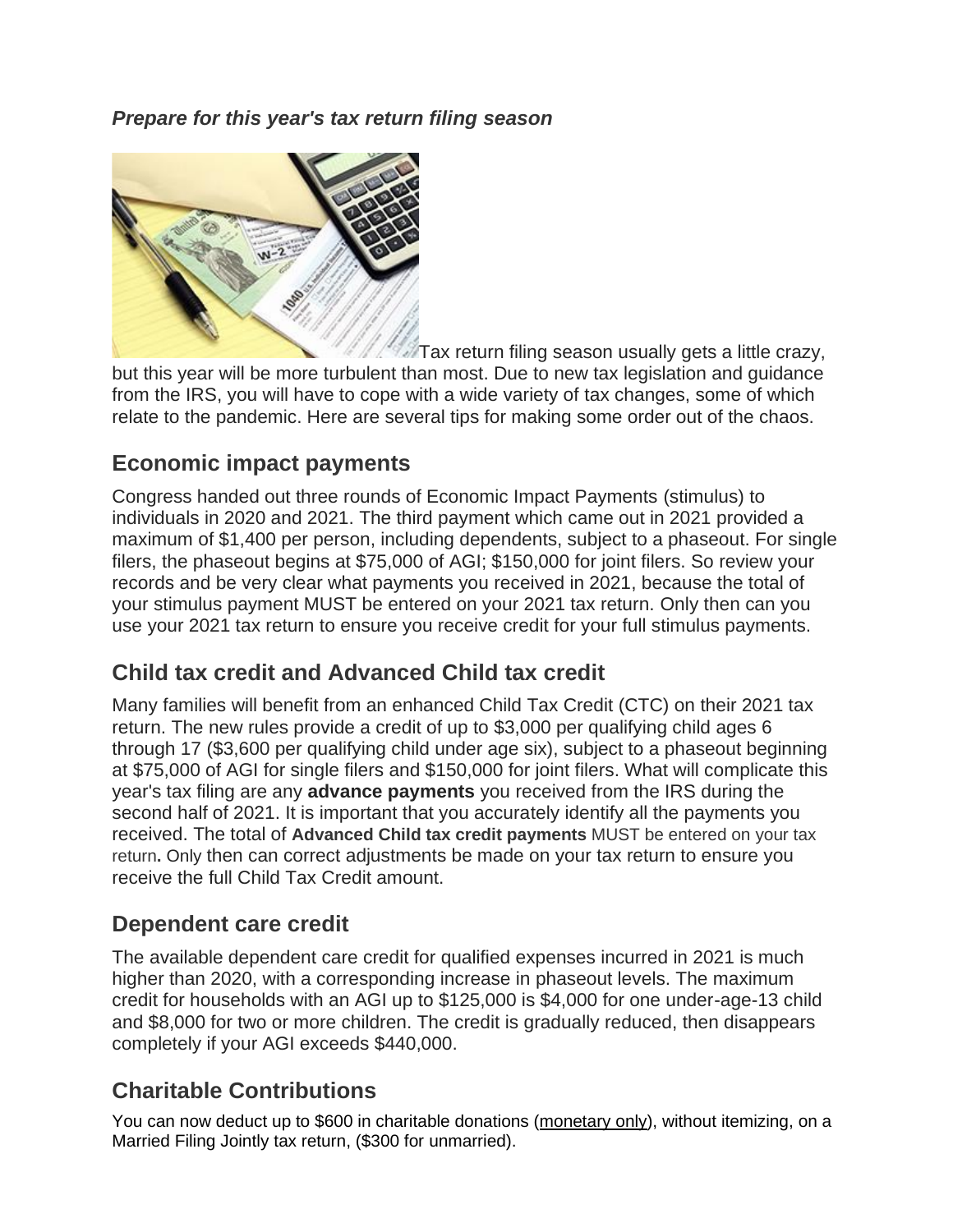*Prepare for this year's tax return filing season*



Tax return filing season usually gets a little crazy, but this year will be more turbulent than most. Due to new tax legislation and guidance from the IRS, you will have to cope with a wide variety of tax changes, some of which relate to the pandemic. Here are several tips for making some order out of the chaos.

## **Economic impact payments**

Congress handed out three rounds of Economic Impact Payments (stimulus) to individuals in 2020 and 2021. The third payment which came out in 2021 provided a maximum of \$1,400 per person, including dependents, subject to a phaseout. For single filers, the phaseout begins at \$75,000 of AGI; \$150,000 for joint filers. So review your records and be very clear what payments you received in 2021, because the total of your stimulus payment MUST be entered on your 2021 tax return. Only then can you use your 2021 tax return to ensure you receive credit for your full stimulus payments.

# **Child tax credit and Advanced Child tax credit**

Many families will benefit from an enhanced Child Tax Credit (CTC) on their 2021 tax return. The new rules provide a credit of up to \$3,000 per qualifying child ages 6 through 17 (\$3,600 per qualifying child under age six), subject to a phaseout beginning at \$75,000 of AGI for single filers and \$150,000 for joint filers. What will complicate this year's tax filing are any **advance payments** you received from the IRS during the second half of 2021. It is important that you accurately identify all the payments you received. The total of **Advanced Child tax credit payments** MUST be entered on your tax return**.** Only then can correct adjustments be made on your tax return to ensure you receive the full Child Tax Credit amount.

### **Dependent care credit**

The available dependent care credit for qualified expenses incurred in 2021 is much higher than 2020, with a corresponding increase in phaseout levels. The maximum credit for households with an AGI up to \$125,000 is \$4,000 for one under-age-13 child and \$8,000 for two or more children. The credit is gradually reduced, then disappears completely if your AGI exceeds \$440,000.

### **Charitable Contributions**

You can now deduct up to \$600 in charitable donations (monetary only), without itemizing, on a Married Filing Jointly tax return, (\$300 for unmarried).